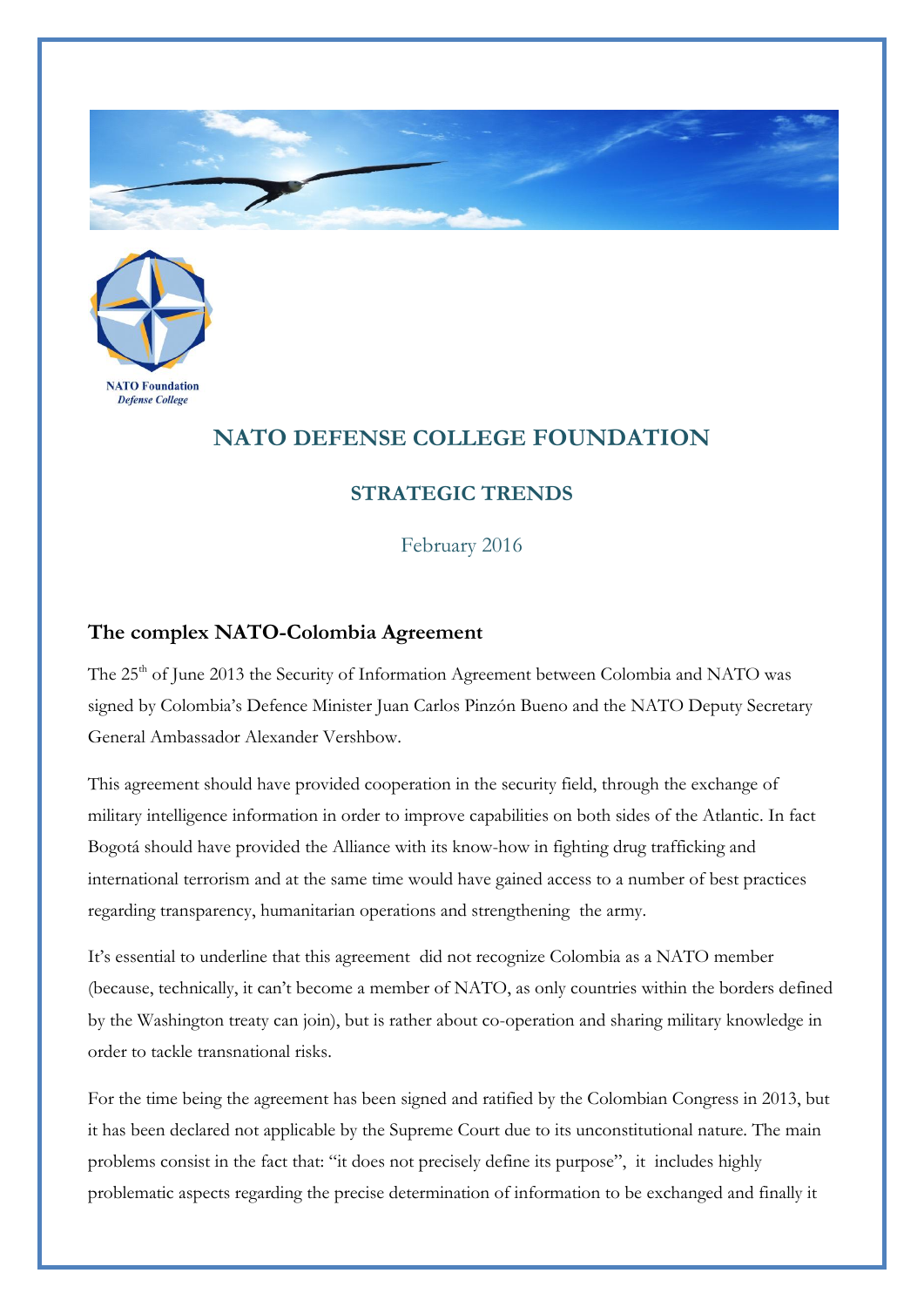



## **NATO DEFENSE COLLEGE FOUNDATION**

## **STRATEGIC TRENDS**

February 2016

## **The complex NATO-Colombia Agreement**

The 25<sup>th</sup> of June 2013 the Security of Information Agreement between Colombia and NATO was signed by Colombia's Defence Minister Juan Carlos Pinzón Bueno and the NATO Deputy Secretary General Ambassador Alexander Vershbow.

This agreement should have provided cooperation in the security field, through the exchange of military intelligence information in order to improve capabilities on both sides of the Atlantic. In fact Bogotá should have provided the Alliance with its know-how in fighting drug trafficking and international terrorism and at the same time would have gained access to a number of best practices regarding transparency, humanitarian operations and strengthening the army.

It's essential to underline that this agreement did not recognize Colombia as a NATO member (because, technically, it can't become a member of NATO, as only countries within the borders defined by the Washington treaty can join), but is rather about co-operation and sharing military knowledge in order to tackle transnational risks.

For the time being the agreement has been signed and ratified by the Colombian Congress in 2013, but it has been declared not applicable by the Supreme Court due to its unconstitutional nature. The main problems consist in the fact that: "it does not precisely define its purpose", it includes highly problematic aspects regarding the precise determination of information to be exchanged and finally it